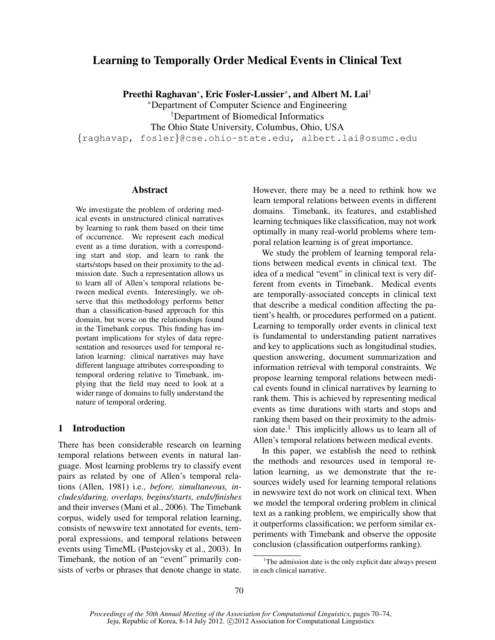# Learning to Temporally Order Medical Events in Clinical Text

Preethi Raghavan<sup>∗</sup>, Eric Fosler-Lussier<sup>∗</sup>, and Albert M. Lai<sup>†</sup>

<sup>∗</sup>Department of Computer Science and Engineering †Department of Biomedical Informatics The Ohio State University, Columbus, Ohio, USA

{raghavap, fosler}@cse.ohio-state.edu, albert.lai@osumc.edu

#### Abstract

We investigate the problem of ordering medical events in unstructured clinical narratives by learning to rank them based on their time of occurrence. We represent each medical event as a time duration, with a corresponding start and stop, and learn to rank the starts/stops based on their proximity to the admission date. Such a representation allows us to learn all of Allen's temporal relations between medical events. Interestingly, we observe that this methodology performs better than a classification-based approach for this domain, but worse on the relationships found in the Timebank corpus. This finding has important implications for styles of data representation and resources used for temporal relation learning: clinical narratives may have different language attributes corresponding to temporal ordering relative to Timebank, implying that the field may need to look at a wider range of domains to fully understand the nature of temporal ordering.

### 1 Introduction

There has been considerable research on learning temporal relations between events in natural language. Most learning problems try to classify event pairs as related by one of Allen's temporal relations (Allen, 1981) i.e., *before, simultaneous, includes/during, overlaps, begins/starts, ends/finishes* and their inverses (Mani et al., 2006). The Timebank corpus, widely used for temporal relation learning, consists of newswire text annotated for events, temporal expressions, and temporal relations between events using TimeML (Pustejovsky et al., 2003). In Timebank, the notion of an "event" primarily consists of verbs or phrases that denote change in state. However, there may be a need to rethink how we learn temporal relations between events in different domains. Timebank, its features, and established learning techniques like classification, may not work optimally in many real-world problems where temporal relation learning is of great importance.

We study the problem of learning temporal relations between medical events in clinical text. The idea of a medical "event" in clinical text is very different from events in Timebank. Medical events are temporally-associated concepts in clinical text that describe a medical condition affecting the patient's health, or procedures performed on a patient. Learning to temporally order events in clinical text is fundamental to understanding patient narratives and key to applications such as longitudinal studies, question answering, document summarization and information retrieval with temporal constraints. We propose learning temporal relations between medical events found in clinical narratives by learning to rank them. This is achieved by representing medical events as time durations with starts and stops and ranking them based on their proximity to the admission date.<sup>1</sup> This implicitly allows us to learn all of Allen's temporal relations between medical events.

In this paper, we establish the need to rethink the methods and resources used in temporal relation learning, as we demonstrate that the resources widely used for learning temporal relations in newswire text do not work on clinical text. When we model the temporal ordering problem in clinical text as a ranking problem, we empirically show that it outperforms classification; we perform similar experiments with Timebank and observe the opposite conclusion (classification outperforms ranking).

<sup>&</sup>lt;sup>1</sup>The admission date is the only explicit date always present in each clinical narrative.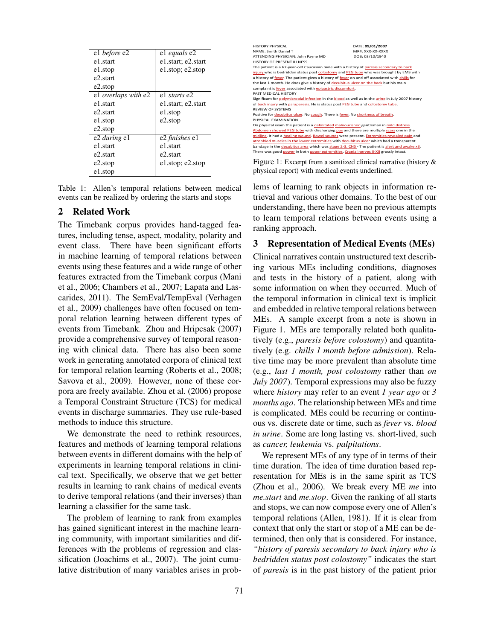| el before e2         | el <i>equals</i> e2 |
|----------------------|---------------------|
| e1.start             | e1.start; e2.start  |
| el.stop              | e1.stop; e2.stop    |
| e <sub>2.start</sub> |                     |
| e <sub>2.stop</sub>  |                     |
| el overlaps with e2  | el <i>starts</i> e2 |
| e1.start             | el.start; e2.start  |
| e <sub>2.start</sub> | e1.stop             |
| e1.stop              | e <sub>2.stop</sub> |
| e2.stop              |                     |
| e2 during e1         | e2 finishes e1      |
| e1.start             | e1.start            |
| e <sub>2.start</sub> | e2.start            |
| e2.stop              | e1.stop; e2.stop    |
| e1.stop              |                     |

Table 1: Allen's temporal relations between medical events can be realized by ordering the starts and stops

#### 2 Related Work

The Timebank corpus provides hand-tagged features, including tense, aspect, modality, polarity and event class. There have been significant efforts in machine learning of temporal relations between events using these features and a wide range of other features extracted from the Timebank corpus (Mani et al., 2006; Chambers et al., 2007; Lapata and Lascarides, 2011). The SemEval/TempEval (Verhagen et al., 2009) challenges have often focused on temporal relation learning between different types of events from Timebank. Zhou and Hripcsak (2007) provide a comprehensive survey of temporal reasoning with clinical data. There has also been some work in generating annotated corpora of clinical text for temporal relation learning (Roberts et al., 2008; Savova et al., 2009). However, none of these corpora are freely available. Zhou et al. (2006) propose a Temporal Constraint Structure (TCS) for medical events in discharge summaries. They use rule-based methods to induce this structure.

We demonstrate the need to rethink resources, features and methods of learning temporal relations between events in different domains with the help of experiments in learning temporal relations in clinical text. Specifically, we observe that we get better results in learning to rank chains of medical events to derive temporal relations (and their inverses) than learning a classifier for the same task.

The problem of learning to rank from examples has gained significant interest in the machine learning community, with important similarities and differences with the problems of regression and classification (Joachims et al., 2007). The joint cumulative distribution of many variables arises in prob-



Figure 1: Excerpt from a sanitized clinical narrative (history & physical report) with medical events underlined.

lems of learning to rank objects in information retrieval and various other domains. To the best of our understanding, there have been no previous attempts to learn temporal relations between events using a ranking approach.

## 3 Representation of Medical Events (MEs)

Clinical narratives contain unstructured text describing various MEs including conditions, diagnoses and tests in the history of a patient, along with some information on when they occurred. Much of the temporal information in clinical text is implicit and embedded in relative temporal relations between MEs. A sample excerpt from a note is shown in Figure 1. MEs are temporally related both qualitatively (e.g., *paresis before colostomy*) and quantitatively (e.g. *chills 1 month before admission*). Relative time may be more prevalent than absolute time (e.g., *last 1 month, post colostomy* rather than *on July 2007*). Temporal expressions may also be fuzzy where *history* may refer to an event *1 year ago* or *3 months ago*. The relationship between MEs and time is complicated. MEs could be recurring or continuous vs. discrete date or time, such as *fever* vs. *blood in urine*. Some are long lasting vs. short-lived, such as *cancer, leukemia* vs. *palpitations*.

We represent MEs of any type of in terms of their time duration. The idea of time duration based representation for MEs is in the same spirit as TCS (Zhou et al., 2006). We break every ME *me* into *me.start* and *me.stop*. Given the ranking of all starts and stops, we can now compose every one of Allen's temporal relations (Allen, 1981). If it is clear from context that only the start or stop of a ME can be determined, then only that is considered. For instance, *"history of paresis secondary to back injury who is bedridden status post colostomy"* indicates the start of *paresis* is in the past history of the patient prior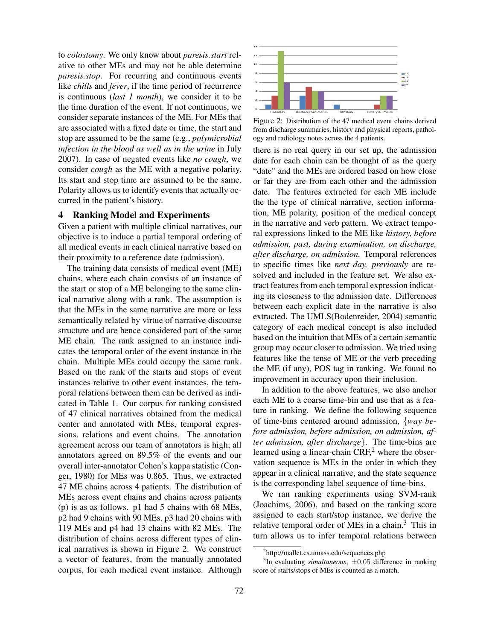to *colostomy*. We only know about *paresis.start* relative to other MEs and may not be able determine *paresis.stop*. For recurring and continuous events like *chills* and *fever*, if the time period of recurrence is continuous (*last 1 month*), we consider it to be the time duration of the event. If not continuous, we consider separate instances of the ME. For MEs that are associated with a fixed date or time, the start and stop are assumed to be the same (e.g., *polymicrobial infection in the blood as well as in the urine* in July 2007). In case of negated events like *no cough*, we consider *cough* as the ME with a negative polarity. Its start and stop time are assumed to be the same. Polarity allows us to identify events that actually occurred in the patient's history.

#### 4 Ranking Model and Experiments

Given a patient with multiple clinical narratives, our objective is to induce a partial temporal ordering of all medical events in each clinical narrative based on their proximity to a reference date (admission).

The training data consists of medical event (ME) chains, where each chain consists of an instance of the start or stop of a ME belonging to the same clinical narrative along with a rank. The assumption is that the MEs in the same narrative are more or less semantically related by virtue of narrative discourse structure and are hence considered part of the same ME chain. The rank assigned to an instance indicates the temporal order of the event instance in the chain. Multiple MEs could occupy the same rank. Based on the rank of the starts and stops of event instances relative to other event instances, the temporal relations between them can be derived as indicated in Table 1. Our corpus for ranking consisted of 47 clinical narratives obtained from the medical center and annotated with MEs, temporal expressions, relations and event chains. The annotation agreement across our team of annotators is high; all annotators agreed on 89.5% of the events and our overall inter-annotator Cohen's kappa statistic (Conger, 1980) for MEs was 0.865. Thus, we extracted 47 ME chains across 4 patients. The distribution of MEs across event chains and chains across patients (p) is as as follows. p1 had 5 chains with 68 MEs, p2 had 9 chains with 90 MEs, p3 had 20 chains with 119 MEs and p4 had 13 chains with 82 MEs. The distribution of chains across different types of clinical narratives is shown in Figure 2. We construct a vector of features, from the manually annotated corpus, for each medical event instance. Although



Figure 2: Distribution of the 47 medical event chains derived from discharge summaries, history and physical reports, pathology and radiology notes across the 4 patients.

there is no real query in our set up, the admission date for each chain can be thought of as the query "date" and the MEs are ordered based on how close or far they are from each other and the admission date. The features extracted for each ME include the the type of clinical narrative, section information, ME polarity, position of the medical concept in the narrative and verb pattern. We extract temporal expressions linked to the ME like *history, before admission, past, during examination, on discharge, after discharge, on admission.* Temporal references to specific times like *next day, previously* are resolved and included in the feature set. We also extract features from each temporal expression indicating its closeness to the admission date. Differences between each explicit date in the narrative is also extracted. The UMLS(Bodenreider, 2004) semantic category of each medical concept is also included based on the intuition that MEs of a certain semantic group may occur closer to admission. We tried using features like the tense of ME or the verb preceding the ME (if any), POS tag in ranking. We found no improvement in accuracy upon their inclusion.

In addition to the above features, we also anchor each ME to a coarse time-bin and use that as a feature in ranking. We define the following sequence of time-bins centered around admission, {*way before admission, before admission, on admission, after admission, after discharge*}. The time-bins are learned using a linear-chain  $CRF<sub>z</sub><sup>2</sup>$  where the observation sequence is MEs in the order in which they appear in a clinical narrative, and the state sequence is the corresponding label sequence of time-bins.

We ran ranking experiments using SVM-rank (Joachims, 2006), and based on the ranking score assigned to each start/stop instance, we derive the relative temporal order of MEs in a chain.<sup>3</sup> This in turn allows us to infer temporal relations between

<sup>2</sup> http://mallet.cs.umass.edu/sequences.php

 $3$ In evaluating *simultaneous*,  $\pm 0.05$  difference in ranking score of starts/stops of MEs is counted as a match.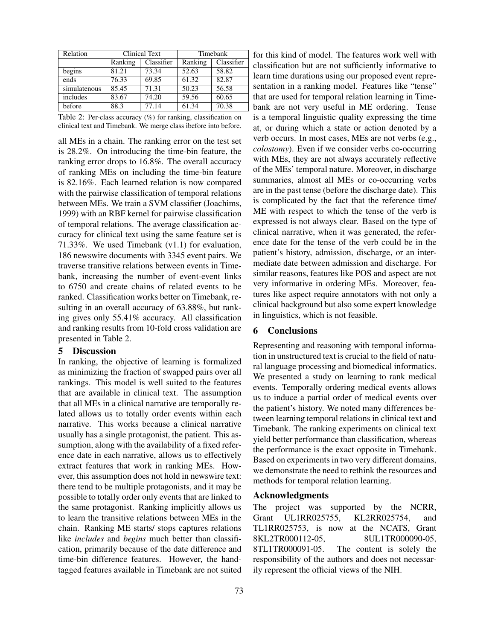| Relation     | <b>Clinical Text</b> |            | Timebank |            |
|--------------|----------------------|------------|----------|------------|
|              | Ranking              | Classifier | Ranking  | Classifier |
| begins       | 81.21                | 73.34      | 52.63    | 58.82      |
| ends         | 76.33                | 69.85      | 61.32    | 82.87      |
| simulatenous | 85.45                | 71.31      | 50.23    | 56.58      |
| includes     | 83.67                | 74.20      | 59.56    | 60.65      |
| before       | 88.3                 | 77.14      | 61.34    | 70.38      |

| Table 2: Per-class accuracy (%) for ranking, classification on  |  |
|-----------------------------------------------------------------|--|
| clinical text and Timebank. We merge class ibefore into before. |  |

all MEs in a chain. The ranking error on the test set is 28.2%. On introducing the time-bin feature, the ranking error drops to 16.8%. The overall accuracy of ranking MEs on including the time-bin feature is 82.16%. Each learned relation is now compared with the pairwise classification of temporal relations between MEs. We train a SVM classifier (Joachims, 1999) with an RBF kernel for pairwise classification of temporal relations. The average classification accuracy for clinical text using the same feature set is 71.33%. We used Timebank (v1.1) for evaluation, 186 newswire documents with 3345 event pairs. We traverse transitive relations between events in Timebank, increasing the number of event-event links to 6750 and create chains of related events to be ranked. Classification works better on Timebank, resulting in an overall accuracy of 63.88%, but ranking gives only 55.41% accuracy. All classification and ranking results from 10-fold cross validation are presented in Table 2.

### 5 Discussion

In ranking, the objective of learning is formalized as minimizing the fraction of swapped pairs over all rankings. This model is well suited to the features that are available in clinical text. The assumption that all MEs in a clinical narrative are temporally related allows us to totally order events within each narrative. This works because a clinical narrative usually has a single protagonist, the patient. This assumption, along with the availability of a fixed reference date in each narrative, allows us to effectively extract features that work in ranking MEs. However, this assumption does not hold in newswire text: there tend to be multiple protagonists, and it may be possible to totally order only events that are linked to the same protagonist. Ranking implicitly allows us to learn the transitive relations between MEs in the chain. Ranking ME starts/ stops captures relations like *includes* and *begins* much better than classification, primarily because of the date difference and time-bin difference features. However, the handtagged features available in Timebank are not suited for this kind of model. The features work well with classification but are not sufficiently informative to learn time durations using our proposed event representation in a ranking model. Features like "tense" that are used for temporal relation learning in Timebank are not very useful in ME ordering. Tense is a temporal linguistic quality expressing the time at, or during which a state or action denoted by a verb occurs. In most cases, MEs are not verbs (e.g., *colostomy*). Even if we consider verbs co-occurring with MEs, they are not always accurately reflective of the MEs' temporal nature. Moreover, in discharge summaries, almost all MEs or co-occurring verbs are in the past tense (before the discharge date). This is complicated by the fact that the reference time/ ME with respect to which the tense of the verb is expressed is not always clear. Based on the type of clinical narrative, when it was generated, the reference date for the tense of the verb could be in the patient's history, admission, discharge, or an intermediate date between admission and discharge. For similar reasons, features like POS and aspect are not very informative in ordering MEs. Moreover, features like aspect require annotators with not only a clinical background but also some expert knowledge in linguistics, which is not feasible.

#### 6 Conclusions

Representing and reasoning with temporal information in unstructured text is crucial to the field of natural language processing and biomedical informatics. We presented a study on learning to rank medical events. Temporally ordering medical events allows us to induce a partial order of medical events over the patient's history. We noted many differences between learning temporal relations in clinical text and Timebank. The ranking experiments on clinical text yield better performance than classification, whereas the performance is the exact opposite in Timebank. Based on experiments in two very different domains, we demonstrate the need to rethink the resources and methods for temporal relation learning.

## Acknowledgments

The project was supported by the NCRR, Grant UL1RR025755, KL2RR025754, and TL1RR025753, is now at the NCATS, Grant 8KL2TR000112-05, 8UL1TR000090-05, 8TL1TR000091-05. The content is solely the responsibility of the authors and does not necessarily represent the official views of the NIH.